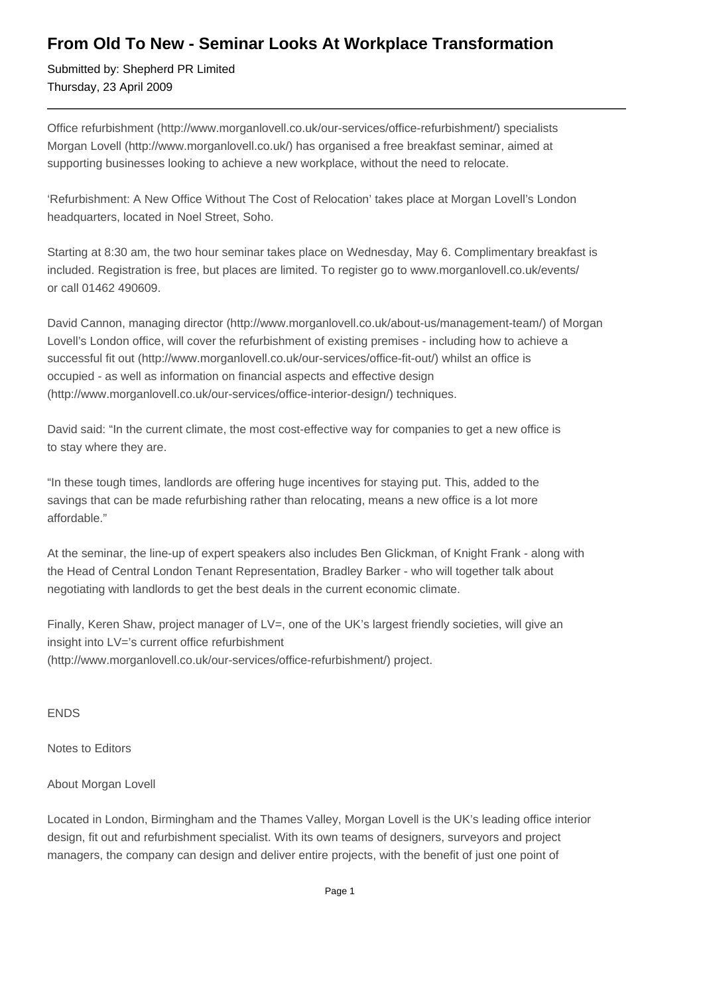## **From Old To New - Seminar Looks At Workplace Transformation**

Submitted by: Shepherd PR Limited Thursday, 23 April 2009

Office refurbishment (http://www.morganlovell.co.uk/our-services/office-refurbishment/) specialists Morgan Lovell (http://www.morganlovell.co.uk/) has organised a free breakfast seminar, aimed at supporting businesses looking to achieve a new workplace, without the need to relocate.

'Refurbishment: A New Office Without The Cost of Relocation' takes place at Morgan Lovell's London headquarters, located in Noel Street, Soho.

Starting at 8:30 am, the two hour seminar takes place on Wednesday, May 6. Complimentary breakfast is included. Registration is free, but places are limited. To register go to www.morganlovell.co.uk/events/ or call 01462 490609.

David Cannon, managing director (http://www.morganlovell.co.uk/about-us/management-team/) of Morgan Lovell's London office, will cover the refurbishment of existing premises - including how to achieve a successful fit out (http://www.morganlovell.co.uk/our-services/office-fit-out/) whilst an office is occupied - as well as information on financial aspects and effective design (http://www.morganlovell.co.uk/our-services/office-interior-design/) techniques.

David said: "In the current climate, the most cost-effective way for companies to get a new office is to stay where they are.

"In these tough times, landlords are offering huge incentives for staying put. This, added to the savings that can be made refurbishing rather than relocating, means a new office is a lot more affordable."

At the seminar, the line-up of expert speakers also includes Ben Glickman, of Knight Frank - along with the Head of Central London Tenant Representation, Bradley Barker - who will together talk about negotiating with landlords to get the best deals in the current economic climate.

Finally, Keren Shaw, project manager of LV=, one of the UK's largest friendly societies, will give an insight into LV='s current office refurbishment (http://www.morganlovell.co.uk/our-services/office-refurbishment/) project.

ENDS

Notes to Editors

About Morgan Lovell

Located in London, Birmingham and the Thames Valley, Morgan Lovell is the UK's leading office interior design, fit out and refurbishment specialist. With its own teams of designers, surveyors and project managers, the company can design and deliver entire projects, with the benefit of just one point of